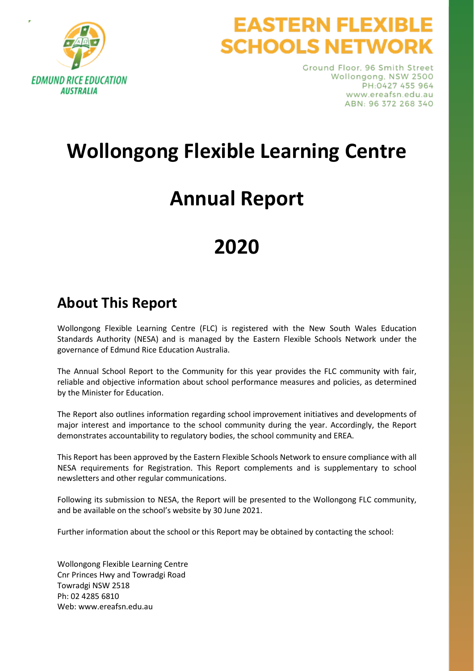

# **EASTERN FLEXIB SCHOOLS NETWORK**

Ground Floor, 96 Smith Street Wollongong, NSW 2500 PH:0427 455 964 www.ereafsn.edu.au ABN: 96 372 268 340

# **Wollongong Flexible Learning Centre**

# **Annual Report**

# **2020**

## **About This Report**

Wollongong Flexible Learning Centre (FLC) is registered with the New South Wales Education Standards Authority (NESA) and is managed by the Eastern Flexible Schools Network under the governance of Edmund Rice Education Australia.

The Annual School Report to the Community for this year provides the FLC community with fair, reliable and objective information about school performance measures and policies, as determined by the Minister for Education.

The Report also outlines information regarding school improvement initiatives and developments of major interest and importance to the school community during the year. Accordingly, the Report demonstrates accountability to regulatory bodies, the school community and EREA.

This Report has been approved by the Eastern Flexible Schools Network to ensure compliance with all NESA requirements for Registration. This Report complements and is supplementary to school newsletters and other regular communications.

Following its submission to NESA, the Report will be presented to the Wollongong FLC community, and be available on the school's website by 30 June 2021.

Further information about the school or this Report may be obtained by contacting the school:

Wollongong Flexible Learning Centre Cnr Princes Hwy and Towradgi Road Towradgi NSW 2518 Ph: 02 4285 6810 Web: www.ereafsn.edu.au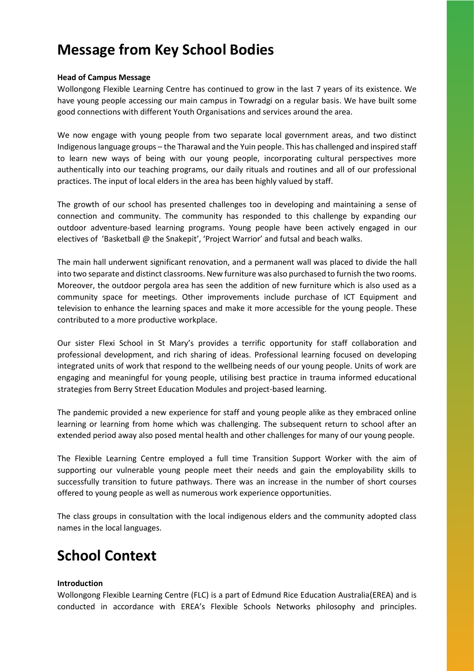## **Message from Key School Bodies**

#### **Head of Campus Message**

Wollongong Flexible Learning Centre has continued to grow in the last 7 years of its existence. We have young people accessing our main campus in Towradgi on a regular basis. We have built some good connections with different Youth Organisations and services around the area.

We now engage with young people from two separate local government areas, and two distinct Indigenous language groups – the Tharawal and the Yuin people. This has challenged and inspired staff to learn new ways of being with our young people, incorporating cultural perspectives more authentically into our teaching programs, our daily rituals and routines and all of our professional practices. The input of local elders in the area has been highly valued by staff.

The growth of our school has presented challenges too in developing and maintaining a sense of connection and community. The community has responded to this challenge by expanding our outdoor adventure-based learning programs. Young people have been actively engaged in our electives of 'Basketball @ the Snakepit', 'Project Warrior' and futsal and beach walks.

The main hall underwent significant renovation, and a permanent wall was placed to divide the hall into two separate and distinct classrooms. New furniture was also purchased to furnish the two rooms. Moreover, the outdoor pergola area has seen the addition of new furniture which is also used as a community space for meetings. Other improvements include purchase of ICT Equipment and television to enhance the learning spaces and make it more accessible for the young people. These contributed to a more productive workplace.

Our sister Flexi School in St Mary's provides a terrific opportunity for staff collaboration and professional development, and rich sharing of ideas. Professional learning focused on developing integrated units of work that respond to the wellbeing needs of our young people. Units of work are engaging and meaningful for young people, utilising best practice in trauma informed educational strategies from Berry Street Education Modules and project-based learning.

The pandemic provided a new experience for staff and young people alike as they embraced online learning or learning from home which was challenging. The subsequent return to school after an extended period away also posed mental health and other challenges for many of our young people.

The Flexible Learning Centre employed a full time Transition Support Worker with the aim of supporting our vulnerable young people meet their needs and gain the employability skills to successfully transition to future pathways. There was an increase in the number of short courses offered to young people as well as numerous work experience opportunities.

The class groups in consultation with the local indigenous elders and the community adopted class names in the local languages.

## **School Context**

#### **Introduction**

Wollongong Flexible Learning Centre (FLC) is a part of Edmund Rice Education Australia(EREA) and is conducted in accordance with EREA's Flexible Schools Networks philosophy and principles.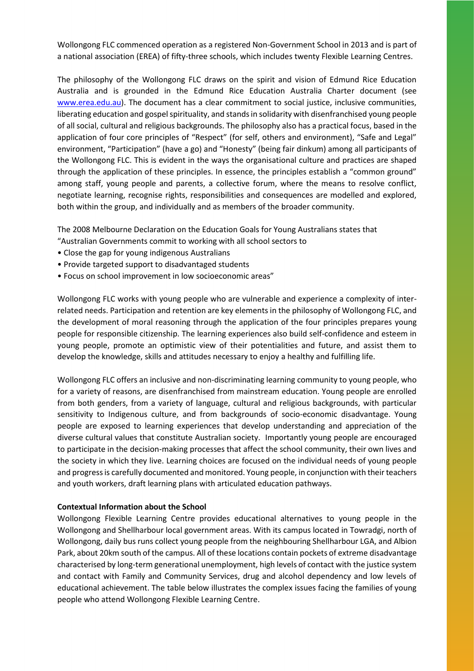Wollongong FLC commenced operation as a registered Non-Government School in 2013 and is part of a national association (EREA) of fifty-three schools, which includes twenty Flexible Learning Centres.

The philosophy of the Wollongong FLC draws on the spirit and vision of Edmund Rice Education Australia and is grounded in the Edmund Rice Education Australia Charter document (see [www.erea.edu.au\)](http://www.erea.edu.au/). The document has a clear commitment to social justice, inclusive communities, liberating education and gospel spirituality, and stands in solidarity with disenfranchised young people of all social, cultural and religious backgrounds. The philosophy also has a practical focus, based in the application of four core principles of "Respect" (for self, others and environment), "Safe and Legal" environment, "Participation" (have a go) and "Honesty" (being fair dinkum) among all participants of the Wollongong FLC. This is evident in the ways the organisational culture and practices are shaped through the application of these principles. In essence, the principles establish a "common ground" among staff, young people and parents, a collective forum, where the means to resolve conflict, negotiate learning, recognise rights, responsibilities and consequences are modelled and explored, both within the group, and individually and as members of the broader community.

The 2008 Melbourne Declaration on the Education Goals for Young Australians states that

"Australian Governments commit to working with all school sectors to

- Close the gap for young indigenous Australians
- Provide targeted support to disadvantaged students
- Focus on school improvement in low socioeconomic areas"

Wollongong FLC works with young people who are vulnerable and experience a complexity of interrelated needs. Participation and retention are key elements in the philosophy of Wollongong FLC, and the development of moral reasoning through the application of the four principles prepares young people for responsible citizenship. The learning experiences also build self-confidence and esteem in young people, promote an optimistic view of their potentialities and future, and assist them to develop the knowledge, skills and attitudes necessary to enjoy a healthy and fulfilling life.

Wollongong FLC offers an inclusive and non-discriminating learning community to young people, who for a variety of reasons, are disenfranchised from mainstream education. Young people are enrolled from both genders, from a variety of language, cultural and religious backgrounds, with particular sensitivity to Indigenous culture, and from backgrounds of socio-economic disadvantage. Young people are exposed to learning experiences that develop understanding and appreciation of the diverse cultural values that constitute Australian society. Importantly young people are encouraged to participate in the decision-making processes that affect the school community, their own lives and the society in which they live. Learning choices are focused on the individual needs of young people and progress is carefully documented and monitored. Young people, in conjunction with their teachers and youth workers, draft learning plans with articulated education pathways.

#### **Contextual Information about the School**

Wollongong Flexible Learning Centre provides educational alternatives to young people in the Wollongong and Shellharbour local government areas. With its campus located in Towradgi, north of Wollongong, daily bus runs collect young people from the neighbouring Shellharbour LGA, and Albion Park, about 20km south of the campus. All of these locations contain pockets of extreme disadvantage characterised by long-term generational unemployment, high levels of contact with the justice system and contact with Family and Community Services, drug and alcohol dependency and low levels of educational achievement. The table below illustrates the complex issues facing the families of young people who attend Wollongong Flexible Learning Centre.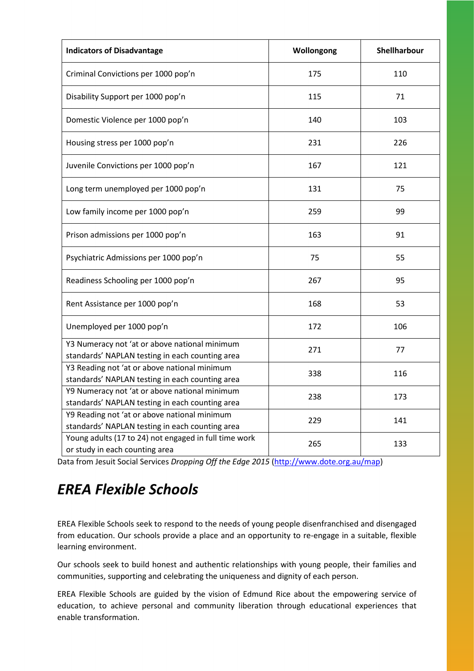| <b>Indicators of Disadvantage</b>                                                                | Wollongong | Shellharbour |
|--------------------------------------------------------------------------------------------------|------------|--------------|
| Criminal Convictions per 1000 pop'n                                                              | 175        | 110          |
| Disability Support per 1000 pop'n                                                                | 115        | 71           |
| Domestic Violence per 1000 pop'n                                                                 | 140        | 103          |
| Housing stress per 1000 pop'n                                                                    | 231        | 226          |
| Juvenile Convictions per 1000 pop'n                                                              | 167        | 121          |
| Long term unemployed per 1000 pop'n                                                              | 131        | 75           |
| Low family income per 1000 pop'n                                                                 | 259        | 99           |
| Prison admissions per 1000 pop'n                                                                 | 163        | 91           |
| Psychiatric Admissions per 1000 pop'n                                                            | 75         | 55           |
| Readiness Schooling per 1000 pop'n                                                               | 267        | 95           |
| Rent Assistance per 1000 pop'n                                                                   | 168        | 53           |
| Unemployed per 1000 pop'n                                                                        | 172        | 106          |
| Y3 Numeracy not 'at or above national minimum<br>standards' NAPLAN testing in each counting area | 271        | 77           |
| Y3 Reading not 'at or above national minimum<br>standards' NAPLAN testing in each counting area  | 338        | 116          |
| Y9 Numeracy not 'at or above national minimum<br>standards' NAPLAN testing in each counting area | 238        | 173          |
| Y9 Reading not 'at or above national minimum<br>standards' NAPLAN testing in each counting area  | 229        | 141          |
| Young adults (17 to 24) not engaged in full time work<br>or study in each counting area          | 265        | 133          |

Data from Jesuit Social Services *Dropping Off the Edge 2015* [\(http://www.dote.org.au/map\)](http://www.dote.org.au/map)

## *EREA Flexible Schools*

EREA Flexible Schools seek to respond to the needs of young people disenfranchised and disengaged from education. Our schools provide a place and an opportunity to re-engage in a suitable, flexible learning environment.

Our schools seek to build honest and authentic relationships with young people, their families and communities, supporting and celebrating the uniqueness and dignity of each person.

EREA Flexible Schools are guided by the vision of Edmund Rice about the empowering service of education, to achieve personal and community liberation through educational experiences that enable transformation.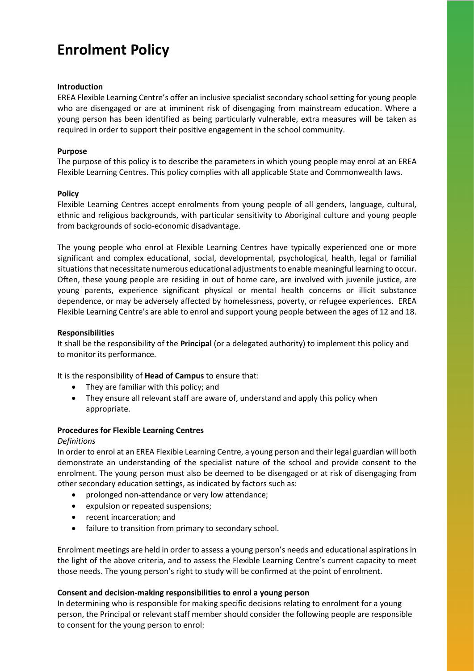## **Enrolment Policy**

#### **Introduction**

EREA Flexible Learning Centre's offer an inclusive specialist secondary school setting for young people who are disengaged or are at imminent risk of disengaging from mainstream education. Where a young person has been identified as being particularly vulnerable, extra measures will be taken as required in order to support their positive engagement in the school community.

#### **Purpose**

The purpose of this policy is to describe the parameters in which young people may enrol at an EREA Flexible Learning Centres. This policy complies with all applicable State and Commonwealth laws.

#### **Policy**

Flexible Learning Centres accept enrolments from young people of all genders, language, cultural, ethnic and religious backgrounds, with particular sensitivity to Aboriginal culture and young people from backgrounds of socio-economic disadvantage.

The young people who enrol at Flexible Learning Centres have typically experienced one or more significant and complex educational, social, developmental, psychological, health, legal or familial situations that necessitate numerous educational adjustments to enable meaningful learning to occur. Often, these young people are residing in out of home care, are involved with juvenile justice, are young parents, experience significant physical or mental health concerns or illicit substance dependence, or may be adversely affected by homelessness, poverty, or refugee experiences. EREA Flexible Learning Centre's are able to enrol and support young people between the ages of 12 and 18.

#### **Responsibilities**

It shall be the responsibility of the **Principal** (or a delegated authority) to implement this policy and to monitor its performance.

It is the responsibility of **Head of Campus** to ensure that:

- They are familiar with this policy; and
- They ensure all relevant staff are aware of, understand and apply this policy when appropriate.

#### **Procedures for Flexible Learning Centres**

#### *Definitions*

In order to enrol at an EREA Flexible Learning Centre, a young person and their legal guardian will both demonstrate an understanding of the specialist nature of the school and provide consent to the enrolment. The young person must also be deemed to be disengaged or at risk of disengaging from other secondary education settings, as indicated by factors such as:

- prolonged non-attendance or very low attendance;
- expulsion or repeated suspensions;
- recent incarceration; and
- failure to transition from primary to secondary school.

Enrolment meetings are held in order to assess a young person's needs and educational aspirations in the light of the above criteria, and to assess the Flexible Learning Centre's current capacity to meet those needs. The young person's right to study will be confirmed at the point of enrolment.

#### **Consent and decision-making responsibilities to enrol a young person**

In determining who is responsible for making specific decisions relating to enrolment for a young person, the Principal or relevant staff member should consider the following people are responsible to consent for the young person to enrol: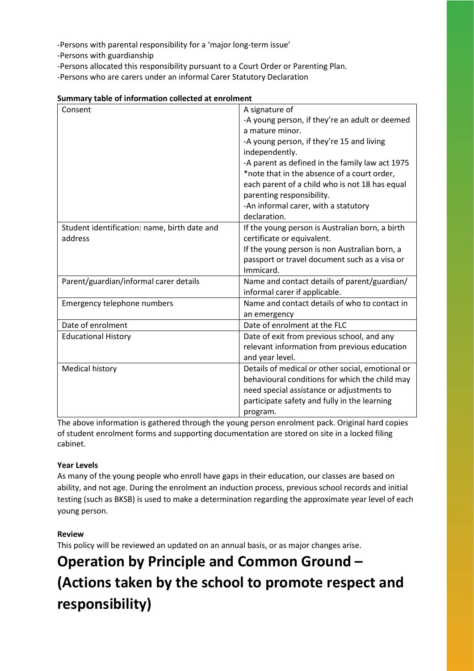-Persons with parental responsibility for a 'major long-term issue'

-Persons with guardianship

-Persons allocated this responsibility pursuant to a Court Order or Parenting Plan.

-Persons who are carers under an informal Carer Statutory Declaration

| Consent                                      | A signature of                                   |
|----------------------------------------------|--------------------------------------------------|
|                                              | -A young person, if they're an adult or deemed   |
|                                              | a mature minor.                                  |
|                                              | -A young person, if they're 15 and living        |
|                                              | independently.                                   |
|                                              |                                                  |
|                                              | -A parent as defined in the family law act 1975  |
|                                              | *note that in the absence of a court order,      |
|                                              | each parent of a child who is not 18 has equal   |
|                                              | parenting responsibility.                        |
|                                              | -An informal carer, with a statutory             |
|                                              | declaration.                                     |
| Student identification: name, birth date and | If the young person is Australian born, a birth  |
| address                                      | certificate or equivalent.                       |
|                                              | If the young person is non Australian born, a    |
|                                              | passport or travel document such as a visa or    |
|                                              | Immicard.                                        |
| Parent/guardian/informal carer details       | Name and contact details of parent/guardian/     |
|                                              | informal carer if applicable.                    |
| Emergency telephone numbers                  | Name and contact details of who to contact in    |
|                                              | an emergency                                     |
| Date of enrolment                            | Date of enrolment at the FLC                     |
| <b>Educational History</b>                   | Date of exit from previous school, and any       |
|                                              | relevant information from previous education     |
|                                              | and year level.                                  |
| <b>Medical history</b>                       | Details of medical or other social, emotional or |
|                                              | behavioural conditions for which the child may   |
|                                              | need special assistance or adjustments to        |
|                                              | participate safety and fully in the learning     |
|                                              | program.                                         |

| Summary table of information collected at enrolment |
|-----------------------------------------------------|
|-----------------------------------------------------|

The above information is gathered through the young person enrolment pack. Original hard copies of student enrolment forms and supporting documentation are stored on site in a locked filing cabinet.

#### **Year Levels**

As many of the young people who enroll have gaps in their education, our classes are based on ability, and not age. During the enrolment an induction process, previous school records and initial testing (such as BKSB) is used to make a determination regarding the approximate year level of each young person.

#### **Review**

This policy will be reviewed an updated on an annual basis, or as major changes arise.

## **Operation by Principle and Common Ground – (Actions taken by the school to promote respect and responsibility)**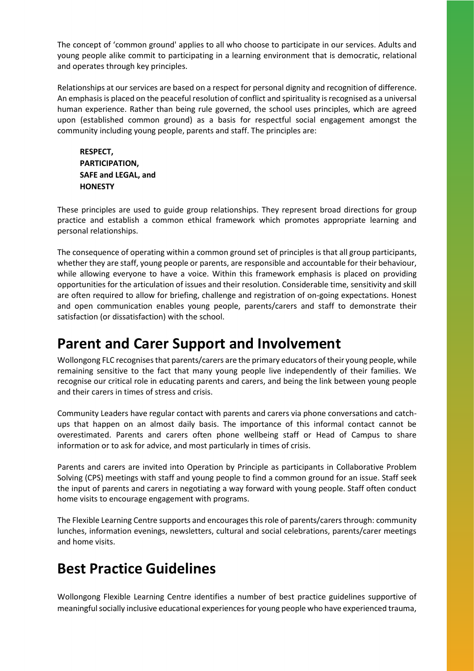The concept of 'common ground' applies to all who choose to participate in our services. Adults and young people alike commit to participating in a learning environment that is democratic, relational and operates through key principles.

Relationships at our services are based on a respect for personal dignity and recognition of difference. An emphasis is placed on the peaceful resolution of conflict and spirituality is recognised as a universal human experience. Rather than being rule governed, the school uses principles, which are agreed upon (established common ground) as a basis for respectful social engagement amongst the community including young people, parents and staff. The principles are:

**RESPECT, PARTICIPATION, SAFE and LEGAL, and HONESTY**

These principles are used to guide group relationships. They represent broad directions for group practice and establish a common ethical framework which promotes appropriate learning and personal relationships.

The consequence of operating within a common ground set of principles is that all group participants, whether they are staff, young people or parents, are responsible and accountable for their behaviour, while allowing everyone to have a voice. Within this framework emphasis is placed on providing opportunities for the articulation of issues and their resolution. Considerable time, sensitivity and skill are often required to allow for briefing, challenge and registration of on-going expectations. Honest and open communication enables young people, parents/carers and staff to demonstrate their satisfaction (or dissatisfaction) with the school.

### **Parent and Carer Support and Involvement**

Wollongong FLC recognises that parents/carers are the primary educators of their young people, while remaining sensitive to the fact that many young people live independently of their families. We recognise our critical role in educating parents and carers, and being the link between young people and their carers in times of stress and crisis.

Community Leaders have regular contact with parents and carers via phone conversations and catchups that happen on an almost daily basis. The importance of this informal contact cannot be overestimated. Parents and carers often phone wellbeing staff or Head of Campus to share information or to ask for advice, and most particularly in times of crisis.

Parents and carers are invited into Operation by Principle as participants in Collaborative Problem Solving (CPS) meetings with staff and young people to find a common ground for an issue. Staff seek the input of parents and carers in negotiating a way forward with young people. Staff often conduct home visits to encourage engagement with programs.

The Flexible Learning Centre supports and encourages this role of parents/carers through: community lunches, information evenings, newsletters, cultural and social celebrations, parents/carer meetings and home visits.

## **Best Practice Guidelines**

Wollongong Flexible Learning Centre identifies a number of best practice guidelines supportive of meaningful socially inclusive educational experiences for young people who have experienced trauma,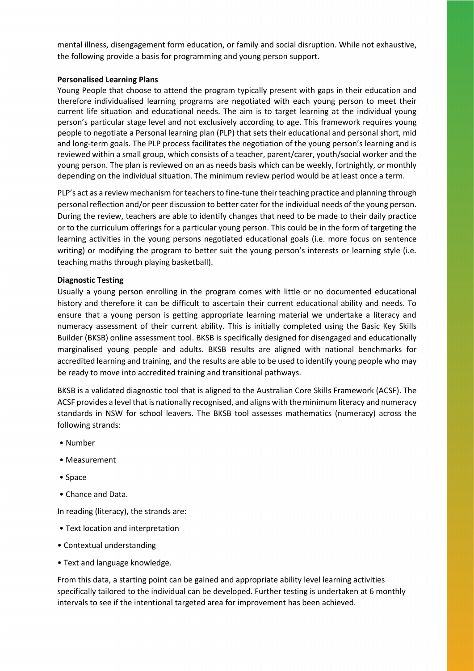mental illness, disengagement form education, or family and social disruption. While not exhaustive, the following provide a basis for programming and young person support.

#### **Personalised Learning Plans**

Young People that choose to attend the program typically present with gaps in their education and therefore individualised learning programs are negotiated with each young person to meet their current life situation and educational needs. The aim is to target learning at the individual young person's particular stage level and not exclusively according to age. This framework requires young people to negotiate a Personal learning plan (PLP) that sets their educational and personal short, mid and long-term goals. The PLP process facilitates the negotiation of the young person's learning and is reviewed within a small group, which consists of a teacher, parent/carer, youth/social worker and the young person. The plan is reviewed on an as needs basis which can be weekly, fortnightly, or monthly depending on the individual situation. The minimum review period would be at least once a term.

PLP's act as a review mechanism for teachers to fine-tune their teaching practice and planning through personal reflection and/or peer discussion to better cater for the individual needs of the young person. During the review, teachers are able to identify changes that need to be made to their daily practice or to the curriculum offerings for a particular young person. This could be in the form of targeting the learning activities in the young persons negotiated educational goals (i.e. more focus on sentence writing) or modifying the program to better suit the young person's interests or learning style (i.e. teaching maths through playing basketball).

#### **Diagnostic Testing**

Usually a young person enrolling in the program comes with little or no documented educational history and therefore it can be difficult to ascertain their current educational ability and needs. To ensure that a young person is getting appropriate learning material we undertake a literacy and numeracy assessment of their current ability. This is initially completed using the Basic Key Skills Builder (BKSB) online assessment tool. BKSB is specifically designed for disengaged and educationally marginalised young people and adults. BKSB results are aligned with national benchmarks for accredited learning and training, and the results are able to be used to identify young people who may be ready to move into accredited training and transitional pathways.

BKSB is a validated diagnostic tool that is aligned to the Australian Core Skills Framework (ACSF). The ACSF provides a level that is nationally recognised, and aligns with the minimum literacy and numeracy standards in NSW for school leavers. The BKSB tool assesses mathematics (numeracy) across the following strands:

- Number
- Measurement
- Space
- Chance and Data.

In reading (literacy), the strands are:

- Text location and interpretation
- Contextual understanding
- Text and language knowledge.

From this data, a starting point can be gained and appropriate ability level learning activities specifically tailored to the individual can be developed. Further testing is undertaken at 6 monthly intervals to see if the intentional targeted area for improvement has been achieved.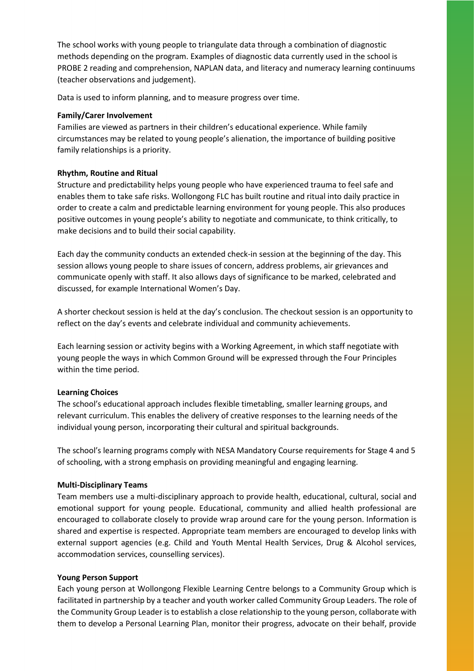The school works with young people to triangulate data through a combination of diagnostic methods depending on the program. Examples of diagnostic data currently used in the school is PROBE 2 reading and comprehension, NAPLAN data, and literacy and numeracy learning continuums (teacher observations and judgement).

Data is used to inform planning, and to measure progress over time.

#### **Family/Carer Involvement**

Families are viewed as partners in their children's educational experience. While family circumstances may be related to young people's alienation, the importance of building positive family relationships is a priority.

#### **Rhythm, Routine and Ritual**

Structure and predictability helps young people who have experienced trauma to feel safe and enables them to take safe risks. Wollongong FLC has built routine and ritual into daily practice in order to create a calm and predictable learning environment for young people. This also produces positive outcomes in young people's ability to negotiate and communicate, to think critically, to make decisions and to build their social capability.

Each day the community conducts an extended check-in session at the beginning of the day. This session allows young people to share issues of concern, address problems, air grievances and communicate openly with staff. It also allows days of significance to be marked, celebrated and discussed, for example International Women's Day.

A shorter checkout session is held at the day's conclusion. The checkout session is an opportunity to reflect on the day's events and celebrate individual and community achievements.

Each learning session or activity begins with a Working Agreement, in which staff negotiate with young people the ways in which Common Ground will be expressed through the Four Principles within the time period.

#### **Learning Choices**

The school's educational approach includes flexible timetabling, smaller learning groups, and relevant curriculum. This enables the delivery of creative responses to the learning needs of the individual young person, incorporating their cultural and spiritual backgrounds.

The school's learning programs comply with NESA Mandatory Course requirements for Stage 4 and 5 of schooling, with a strong emphasis on providing meaningful and engaging learning.

#### **Multi-Disciplinary Teams**

Team members use a multi-disciplinary approach to provide health, educational, cultural, social and emotional support for young people. Educational, community and allied health professional are encouraged to collaborate closely to provide wrap around care for the young person. Information is shared and expertise is respected. Appropriate team members are encouraged to develop links with external support agencies (e.g. Child and Youth Mental Health Services, Drug & Alcohol services, accommodation services, counselling services).

#### **Young Person Support**

Each young person at Wollongong Flexible Learning Centre belongs to a Community Group which is facilitated in partnership by a teacher and youth worker called Community Group Leaders. The role of the Community Group Leader is to establish a close relationship to the young person, collaborate with them to develop a Personal Learning Plan, monitor their progress, advocate on their behalf, provide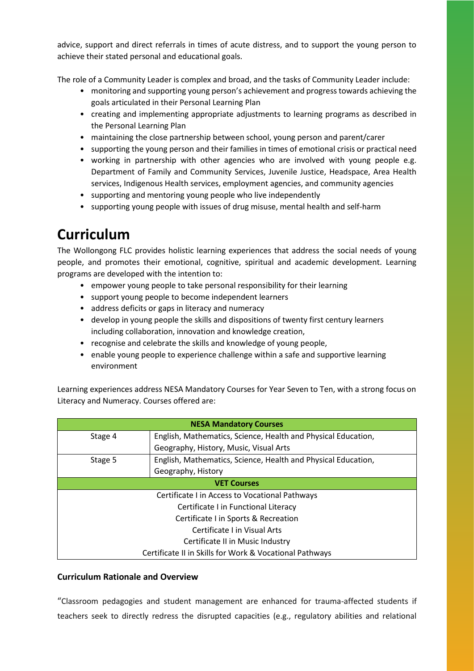advice, support and direct referrals in times of acute distress, and to support the young person to achieve their stated personal and educational goals.

The role of a Community Leader is complex and broad, and the tasks of Community Leader include:

- monitoring and supporting young person's achievement and progress towards achieving the goals articulated in their Personal Learning Plan
- creating and implementing appropriate adjustments to learning programs as described in the Personal Learning Plan
- maintaining the close partnership between school, young person and parent/carer
- supporting the young person and their families in times of emotional crisis or practical need
- working in partnership with other agencies who are involved with young people e.g. Department of Family and Community Services, Juvenile Justice, Headspace, Area Health services, Indigenous Health services, employment agencies, and community agencies
- supporting and mentoring young people who live independently
- supporting young people with issues of drug misuse, mental health and self-harm

## **Curriculum**

The Wollongong FLC provides holistic learning experiences that address the social needs of young people, and promotes their emotional, cognitive, spiritual and academic development. Learning programs are developed with the intention to:

- empower young people to take personal responsibility for their learning
- support young people to become independent learners
- address deficits or gaps in literacy and numeracy
- develop in young people the skills and dispositions of twenty first century learners including collaboration, innovation and knowledge creation,
- recognise and celebrate the skills and knowledge of young people,
- enable young people to experience challenge within a safe and supportive learning environment

Learning experiences address NESA Mandatory Courses for Year Seven to Ten, with a strong focus on Literacy and Numeracy. Courses offered are:

| <b>NESA Mandatory Courses</b>                           |                                                               |  |
|---------------------------------------------------------|---------------------------------------------------------------|--|
| Stage 4                                                 | English, Mathematics, Science, Health and Physical Education, |  |
|                                                         | Geography, History, Music, Visual Arts                        |  |
| Stage 5                                                 | English, Mathematics, Science, Health and Physical Education, |  |
|                                                         | Geography, History                                            |  |
|                                                         | <b>VET Courses</b>                                            |  |
| Certificate I in Access to Vocational Pathways          |                                                               |  |
| Certificate I in Functional Literacy                    |                                                               |  |
| Certificate I in Sports & Recreation                    |                                                               |  |
| Certificate I in Visual Arts                            |                                                               |  |
| Certificate II in Music Industry                        |                                                               |  |
| Certificate II in Skills for Work & Vocational Pathways |                                                               |  |

#### **Curriculum Rationale and Overview**

"Classroom pedagogies and student management are enhanced for trauma-affected students if teachers seek to directly redress the disrupted capacities (e.g., regulatory abilities and relational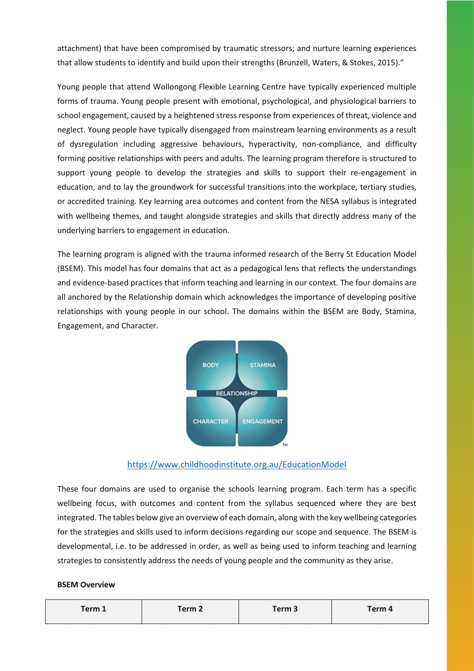attachment) that have been compromised by traumatic stressors; and nurture learning experiences that allow students to identify and build upon their strengths (Brunzell, Waters, & Stokes, 2015)."

Young people that attend Wollongong Flexible Learning Centre have typically experienced multiple forms of trauma. Young people present with emotional, psychological, and physiological barriers to school engagement, caused by a heightened stress response from experiences of threat, violence and neglect. Young people have typically disengaged from mainstream learning environments as a result of dysregulation including aggressive behaviours, hyperactivity, non-compliance, and difficulty forming positive relationships with peers and adults. The learning program therefore is structured to support young people to develop the strategies and skills to support their re-engagement in education, and to lay the groundwork for successful transitions into the workplace, tertiary studies, or accredited training. Key learning area outcomes and content from the NESA syllabus is integrated with wellbeing themes, and taught alongside strategies and skills that directly address many of the underlying barriers to engagement in education.

The learning program is aligned with the trauma informed research of the Berry St Education Model (BSEM). This model has four domains that act as a pedagogical lens that reflects the understandings and evidence-based practices that inform teaching and learning in our context. The four domains are all anchored by the Relationship domain which acknowledges the importance of developing positive relationships with young people in our school. The domains within the BSEM are Body, Stamina, Engagement, and Character.



#### <https://www.childhoodinstitute.org.au/EducationModel>

These four domains are used to organise the schools learning program. Each term has a specific wellbeing focus, with outcomes and content from the syllabus sequenced where they are best integrated. The tables below give an overview of each domain, along with the key wellbeing categories for the strategies and skills used to inform decisions regarding our scope and sequence. The BSEM is developmental, i.e. to be addressed in order, as well as being used to inform teaching and learning strategies to consistently address the needs of young people and the community as they arise.

#### **BSEM Overview**

| Term 1 | Term 2 | Term <sub>3</sub> | Term 4 |
|--------|--------|-------------------|--------|
|--------|--------|-------------------|--------|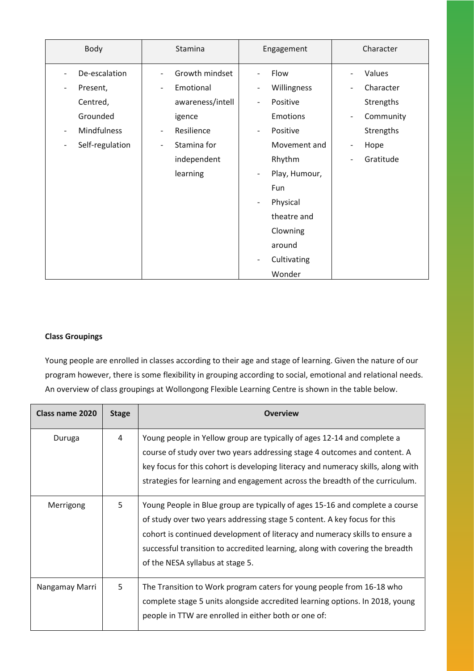| Body                                               | Stamina                                    | Engagement                                | Character                             |
|----------------------------------------------------|--------------------------------------------|-------------------------------------------|---------------------------------------|
| De-escalation                                      | Growth mindset<br>$\overline{\phantom{a}}$ | Flow<br>$\overline{a}$                    | Values                                |
| Present,<br>$\qquad \qquad \blacksquare$           | Emotional<br>$\overline{\phantom{0}}$      | Willingness<br>$\overline{a}$             | Character                             |
| Centred,                                           | awareness/intell                           | Positive<br>$\overline{a}$                | Strengths                             |
| Grounded                                           | igence                                     | <b>Emotions</b>                           | Community<br>$\overline{\phantom{a}}$ |
| <b>Mindfulness</b><br>$\qquad \qquad \blacksquare$ | Resilience<br>$\overline{\phantom{a}}$     | Positive<br>$\qquad \qquad -$             | Strengths                             |
| Self-regulation<br>$\qquad \qquad \blacksquare$    | Stamina for<br>$\overline{\phantom{a}}$    | Movement and                              | Hope<br>$\overline{\phantom{a}}$      |
|                                                    | independent                                | Rhythm                                    | Gratitude                             |
|                                                    | learning                                   | Play, Humour,<br>$\overline{\phantom{a}}$ |                                       |
|                                                    |                                            | Fun                                       |                                       |
|                                                    |                                            | Physical<br>$\overline{a}$                |                                       |
|                                                    |                                            | theatre and                               |                                       |
|                                                    |                                            | Clowning                                  |                                       |
|                                                    |                                            | around                                    |                                       |
|                                                    |                                            | Cultivating<br>$\overline{a}$             |                                       |
|                                                    |                                            | Wonder                                    |                                       |

#### **Class Groupings**

Young people are enrolled in classes according to their age and stage of learning. Given the nature of our program however, there is some flexibility in grouping according to social, emotional and relational needs. An overview of class groupings at Wollongong Flexible Learning Centre is shown in the table below.

| Class name 2020 | <b>Stage</b> | <b>Overview</b>                                                                                                                                                                                                                                                                                                                                              |
|-----------------|--------------|--------------------------------------------------------------------------------------------------------------------------------------------------------------------------------------------------------------------------------------------------------------------------------------------------------------------------------------------------------------|
| Duruga          | 4            | Young people in Yellow group are typically of ages 12-14 and complete a<br>course of study over two years addressing stage 4 outcomes and content. A<br>key focus for this cohort is developing literacy and numeracy skills, along with<br>strategies for learning and engagement across the breadth of the curriculum.                                     |
| Merrigong       | 5            | Young People in Blue group are typically of ages 15-16 and complete a course<br>of study over two years addressing stage 5 content. A key focus for this<br>cohort is continued development of literacy and numeracy skills to ensure a<br>successful transition to accredited learning, along with covering the breadth<br>of the NESA syllabus at stage 5. |
| Nangamay Marri  | 5            | The Transition to Work program caters for young people from 16-18 who<br>complete stage 5 units alongside accredited learning options. In 2018, young<br>people in TTW are enrolled in either both or one of:                                                                                                                                                |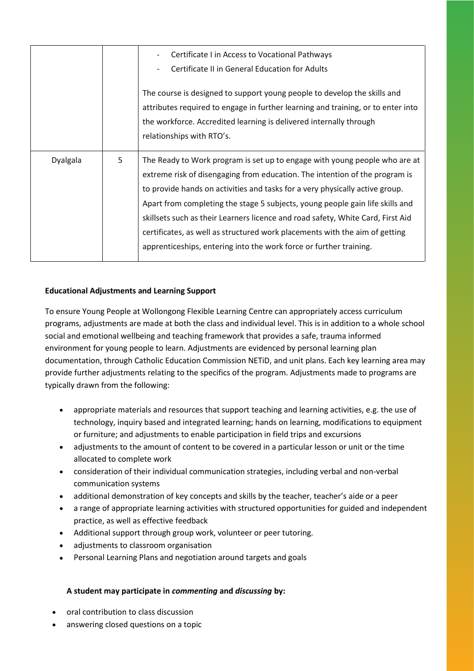|          |   | Certificate I in Access to Vocational Pathways<br>Certificate II in General Education for Adults<br>The course is designed to support young people to develop the skills and<br>attributes required to engage in further learning and training, or to enter into<br>the workforce. Accredited learning is delivered internally through                                                                                                                                                                                                                             |
|----------|---|--------------------------------------------------------------------------------------------------------------------------------------------------------------------------------------------------------------------------------------------------------------------------------------------------------------------------------------------------------------------------------------------------------------------------------------------------------------------------------------------------------------------------------------------------------------------|
|          |   | relationships with RTO's.                                                                                                                                                                                                                                                                                                                                                                                                                                                                                                                                          |
| Dyalgala | 5 | The Ready to Work program is set up to engage with young people who are at<br>extreme risk of disengaging from education. The intention of the program is<br>to provide hands on activities and tasks for a very physically active group.<br>Apart from completing the stage 5 subjects, young people gain life skills and<br>skillsets such as their Learners licence and road safety, White Card, First Aid<br>certificates, as well as structured work placements with the aim of getting<br>apprenticeships, entering into the work force or further training. |

#### **Educational Adjustments and Learning Support**

To ensure Young People at Wollongong Flexible Learning Centre can appropriately access curriculum programs, adjustments are made at both the class and individual level. This is in addition to a whole school social and emotional wellbeing and teaching framework that provides a safe, trauma informed environment for young people to learn. Adjustments are evidenced by personal learning plan documentation, through Catholic Education Commission NETiD, and unit plans. Each key learning area may provide further adjustments relating to the specifics of the program. Adjustments made to programs are typically drawn from the following:

- appropriate materials and resources that support teaching and learning activities, e.g. the use of technology, inquiry based and integrated learning; hands on learning, modifications to equipment or furniture; and adjustments to enable participation in field trips and excursions
- adjustments to the amount of content to be covered in a particular lesson or unit or the time allocated to complete work
- consideration of their individual communication strategies, including verbal and non-verbal communication systems
- additional demonstration of key concepts and skills by the teacher, teacher's aide or a peer
- a range of appropriate learning activities with structured opportunities for guided and independent practice, as well as effective feedback
- Additional support through group work, volunteer or peer tutoring.
- adjustments to classroom organisation
- Personal Learning Plans and negotiation around targets and goals

#### **A student may participate in** *commenting* **and** *discussing* **by:**

- oral contribution to class discussion
- answering closed questions on a topic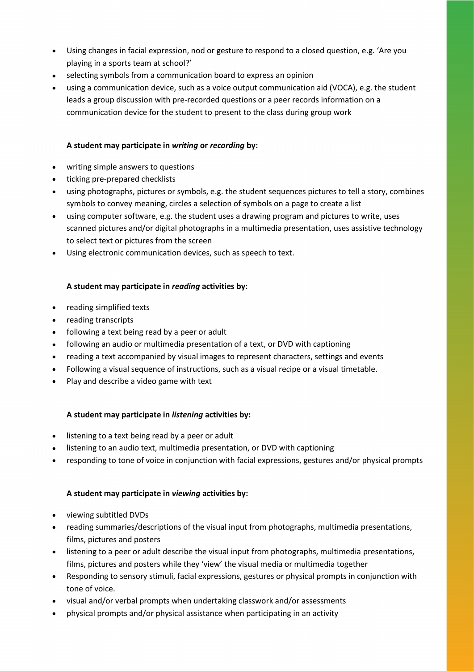- Using changes in facial expression, nod or gesture to respond to a closed question, e.g. 'Are you playing in a sports team at school?'
- selecting symbols from a communication board to express an opinion
- using a communication device, such as a voice output communication aid (VOCA), e.g. the student leads a group discussion with pre-recorded questions or a peer records information on a communication device for the student to present to the class during group work

#### **A student may participate in** *writing* **or** *recording* **by:**

- writing simple answers to questions
- ticking pre-prepared checklists
- using photographs, pictures or symbols, e.g. the student sequences pictures to tell a story, combines symbols to convey meaning, circles a selection of symbols on a page to create a list
- using computer software, e.g. the student uses a drawing program and pictures to write, uses scanned pictures and/or digital photographs in a multimedia presentation, uses assistive technology to select text or pictures from the screen
- Using electronic communication devices, such as speech to text.

#### **A student may participate in** *reading* **activities by:**

- reading simplified texts
- reading transcripts
- following a text being read by a peer or adult
- following an audio or multimedia presentation of a text, or DVD with captioning
- reading a text accompanied by visual images to represent characters, settings and events
- Following a visual sequence of instructions, such as a visual recipe or a visual timetable.
- Play and describe a video game with text

#### **A student may participate in** *listening* **activities by:**

- listening to a text being read by a peer or adult
- listening to an audio text, multimedia presentation, or DVD with captioning
- responding to tone of voice in conjunction with facial expressions, gestures and/or physical prompts

#### **A student may participate in** *viewing* **activities by:**

- viewing subtitled DVDs
- reading summaries/descriptions of the visual input from photographs, multimedia presentations, films, pictures and posters
- listening to a peer or adult describe the visual input from photographs, multimedia presentations, films, pictures and posters while they 'view' the visual media or multimedia together
- Responding to sensory stimuli, facial expressions, gestures or physical prompts in conjunction with tone of voice.
- visual and/or verbal prompts when undertaking classwork and/or assessments
- physical prompts and/or physical assistance when participating in an activity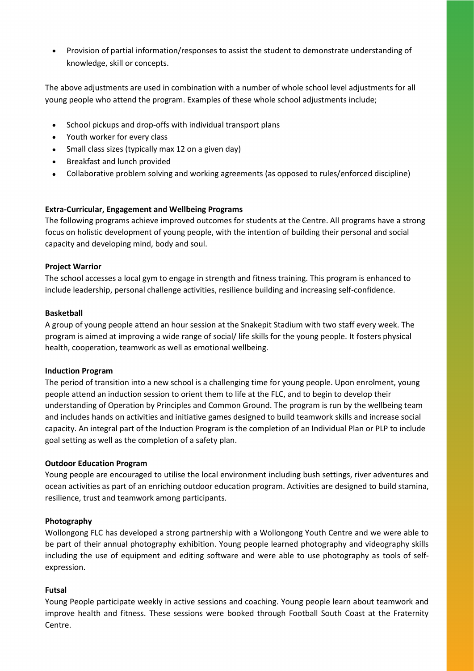• Provision of partial information/responses to assist the student to demonstrate understanding of knowledge, skill or concepts.

The above adjustments are used in combination with a number of whole school level adjustments for all young people who attend the program. Examples of these whole school adjustments include;

- School pickups and drop-offs with individual transport plans
- Youth worker for every class
- Small class sizes (typically max 12 on a given day)
- Breakfast and lunch provided
- Collaborative problem solving and working agreements (as opposed to rules/enforced discipline)

#### **Extra-Curricular, Engagement and Wellbeing Programs**

The following programs achieve improved outcomes for students at the Centre. All programs have a strong focus on holistic development of young people, with the intention of building their personal and social capacity and developing mind, body and soul.

#### **Project Warrior**

The school accesses a local gym to engage in strength and fitness training. This program is enhanced to include leadership, personal challenge activities, resilience building and increasing self-confidence.

#### **Basketball**

A group of young people attend an hour session at the Snakepit Stadium with two staff every week. The program is aimed at improving a wide range of social/ life skills for the young people. It fosters physical health, cooperation, teamwork as well as emotional wellbeing.

#### **Induction Program**

The period of transition into a new school is a challenging time for young people. Upon enrolment, young people attend an induction session to orient them to life at the FLC, and to begin to develop their understanding of Operation by Principles and Common Ground. The program is run by the wellbeing team and includes hands on activities and initiative games designed to build teamwork skills and increase social capacity. An integral part of the Induction Program is the completion of an Individual Plan or PLP to include goal setting as well as the completion of a safety plan.

#### **Outdoor Education Program**

Young people are encouraged to utilise the local environment including bush settings, river adventures and ocean activities as part of an enriching outdoor education program. Activities are designed to build stamina, resilience, trust and teamwork among participants.

#### **Photography**

Wollongong FLC has developed a strong partnership with a Wollongong Youth Centre and we were able to be part of their annual photography exhibition. Young people learned photography and videography skills including the use of equipment and editing software and were able to use photography as tools of selfexpression.

#### **Futsal**

Young People participate weekly in active sessions and coaching. Young people learn about teamwork and improve health and fitness. These sessions were booked through Football South Coast at the Fraternity Centre.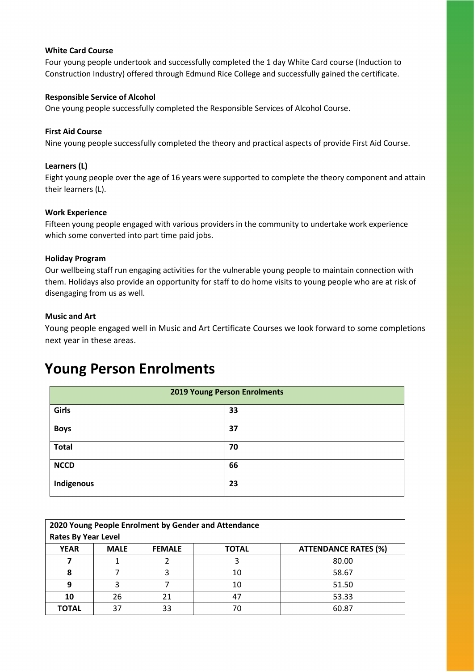#### **White Card Course**

Four young people undertook and successfully completed the 1 day White Card course (Induction to Construction Industry) offered through Edmund Rice College and successfully gained the certificate.

#### **Responsible Service of Alcohol**

One young people successfully completed the Responsible Services of Alcohol Course.

#### **First Aid Course**

Nine young people successfully completed the theory and practical aspects of provide First Aid Course.

#### **Learners (L)**

Eight young people over the age of 16 years were supported to complete the theory component and attain their learners (L).

#### **Work Experience**

Fifteen young people engaged with various providers in the community to undertake work experience which some converted into part time paid jobs.

#### **Holiday Program**

Our wellbeing staff run engaging activities for the vulnerable young people to maintain connection with them. Holidays also provide an opportunity for staff to do home visits to young people who are at risk of disengaging from us as well.

#### **Music and Art**

Young people engaged well in Music and Art Certificate Courses we look forward to some completions next year in these areas.

### **Young Person Enrolments**

| <b>2019 Young Person Enrolments</b> |    |  |
|-------------------------------------|----|--|
| Girls                               | 33 |  |
| <b>Boys</b>                         | 37 |  |
| <b>Total</b>                        | 70 |  |
| <b>NCCD</b>                         | 66 |  |
| Indigenous                          | 23 |  |

| 2020 Young People Enrolment by Gender and Attendance |             |               |              |                             |
|------------------------------------------------------|-------------|---------------|--------------|-----------------------------|
| <b>Rates By Year Level</b>                           |             |               |              |                             |
| <b>YEAR</b>                                          | <b>MALE</b> | <b>FEMALE</b> | <b>TOTAL</b> | <b>ATTENDANCE RATES (%)</b> |
|                                                      |             |               |              | 80.00                       |
|                                                      |             |               | 10           | 58.67                       |
| 9                                                    |             |               | 10           | 51.50                       |
| 10                                                   | 26          |               |              | 53.33                       |
| <b>TOTAL</b>                                         | 37          | 33            | 70           | 60.87                       |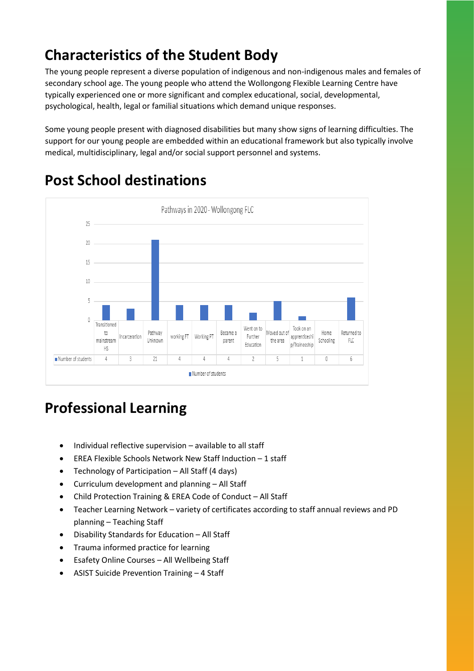## **Characteristics of the Student Body**

The young people represent a diverse population of indigenous and non-indigenous males and females of secondary school age. The young people who attend the Wollongong Flexible Learning Centre have typically experienced one or more significant and complex educational, social, developmental, psychological, health, legal or familial situations which demand unique responses.

Some young people present with diagnosed disabilities but many show signs of learning difficulties. The support for our young people are embedded within an educational framework but also typically involve medical, multidisciplinary, legal and/or social support personnel and systems.



## **Post School destinations**

## **Professional Learning**

- Individual reflective supervision available to all staff
- EREA Flexible Schools Network New Staff Induction 1 staff
- Technology of Participation All Staff (4 days)
- Curriculum development and planning All Staff
- Child Protection Training & EREA Code of Conduct All Staff
- Teacher Learning Network variety of certificates according to staff annual reviews and PD planning – Teaching Staff
- Disability Standards for Education All Staff
- Trauma informed practice for learning
- Esafety Online Courses All Wellbeing Staff
- ASIST Suicide Prevention Training 4 Staff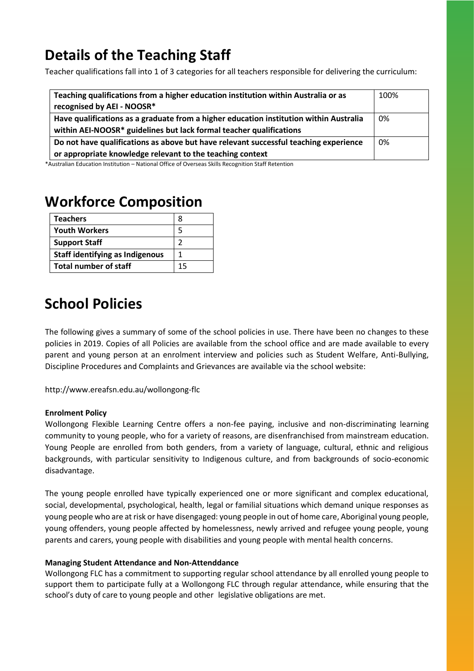## **Details of the Teaching Staff**

Teacher qualifications fall into 1 of 3 categories for all teachers responsible for delivering the curriculum:

| Teaching qualifications from a higher education institution within Australia or as     | 100% |
|----------------------------------------------------------------------------------------|------|
| recognised by AEI - NOOSR*                                                             |      |
| Have qualifications as a graduate from a higher education institution within Australia | 0%   |
| within AEI-NOOSR* guidelines but lack formal teacher qualifications                    |      |
| Do not have qualifications as above but have relevant successful teaching experience   | 0%   |
| or appropriate knowledge relevant to the teaching context                              |      |

\*Australian Education Institution – National Office of Overseas Skills Recognition Staff Retention

## **Workforce Composition**

| <b>Teachers</b>                        | 8  |
|----------------------------------------|----|
| <b>Youth Workers</b>                   | 5  |
| <b>Support Staff</b>                   |    |
| <b>Staff identifying as Indigenous</b> |    |
| <b>Total number of staff</b>           | 15 |

## **School Policies**

The following gives a summary of some of the school policies in use. There have been no changes to these policies in 2019. Copies of all Policies are available from the school office and are made available to every parent and young person at an enrolment interview and policies such as Student Welfare, Anti-Bullying, Discipline Procedures and Complaints and Grievances are available via the school website:

http://www.ereafsn.edu.au/wollongong-flc

#### **Enrolment Policy**

Wollongong Flexible Learning Centre offers a non-fee paying, inclusive and non-discriminating learning community to young people, who for a variety of reasons, are disenfranchised from mainstream education. Young People are enrolled from both genders, from a variety of language, cultural, ethnic and religious backgrounds, with particular sensitivity to Indigenous culture, and from backgrounds of socio-economic disadvantage.

The young people enrolled have typically experienced one or more significant and complex educational, social, developmental, psychological, health, legal or familial situations which demand unique responses as young people who are at risk or have disengaged: young people in out of home care, Aboriginal young people, young offenders, young people affected by homelessness, newly arrived and refugee young people, young parents and carers, young people with disabilities and young people with mental health concerns.

#### **Managing Student Attendance and Non-Attenddance**

Wollongong FLC has a commitment to supporting regular school attendance by all enrolled young people to support them to participate fully at a Wollongong FLC through regular attendance, while ensuring that the school's duty of care to young people and other legislative obligations are met.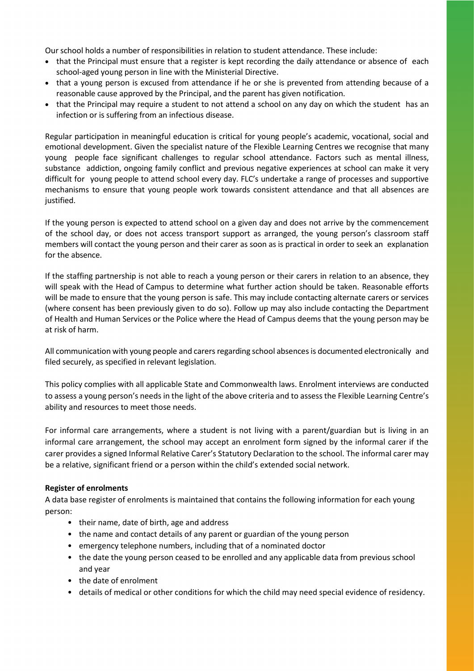Our school holds a number of responsibilities in relation to student attendance. These include:

- that the Principal must ensure that a register is kept recording the daily attendance or absence of each school-aged young person in line with the Ministerial Directive.
- that a young person is excused from attendance if he or she is prevented from attending because of a reasonable cause approved by the Principal, and the parent has given notification.
- that the Principal may require a student to not attend a school on any day on which the student has an infection or is suffering from an infectious disease.

Regular participation in meaningful education is critical for young people's academic, vocational, social and emotional development. Given the specialist nature of the Flexible Learning Centres we recognise that many young people face significant challenges to regular school attendance. Factors such as mental illness, substance addiction, ongoing family conflict and previous negative experiences at school can make it very difficult for young people to attend school every day. FLC's undertake a range of processes and supportive mechanisms to ensure that young people work towards consistent attendance and that all absences are justified.

If the young person is expected to attend school on a given day and does not arrive by the commencement of the school day, or does not access transport support as arranged, the young person's classroom staff members will contact the young person and their carer as soon as is practical in order to seek an explanation for the absence.

If the staffing partnership is not able to reach a young person or their carers in relation to an absence, they will speak with the Head of Campus to determine what further action should be taken. Reasonable efforts will be made to ensure that the young person is safe. This may include contacting alternate carers or services (where consent has been previously given to do so). Follow up may also include contacting the Department of Health and Human Services or the Police where the Head of Campus deems that the young person may be at risk of harm.

All communication with young people and carers regarding school absencesis documented electronically and filed securely, as specified in relevant legislation.

This policy complies with all applicable State and Commonwealth laws. Enrolment interviews are conducted to assess a young person's needs in the light of the above criteria and to assess the Flexible Learning Centre's ability and resources to meet those needs.

For informal care arrangements, where a student is not living with a parent/guardian but is living in an informal care arrangement, the school may accept an enrolment form signed by the informal carer if the carer provides a signed Informal Relative Carer's Statutory Declaration to the school. The informal carer may be a relative, significant friend or a person within the child's extended social network.

#### **Register of enrolments**

A data base register of enrolments is maintained that contains the following information for each young person:

- their name, date of birth, age and address
- the name and contact details of any parent or guardian of the young person
- emergency telephone numbers, including that of a nominated doctor
- the date the young person ceased to be enrolled and any applicable data from previous school and year
- the date of enrolment
- details of medical or other conditions for which the child may need special evidence of residency.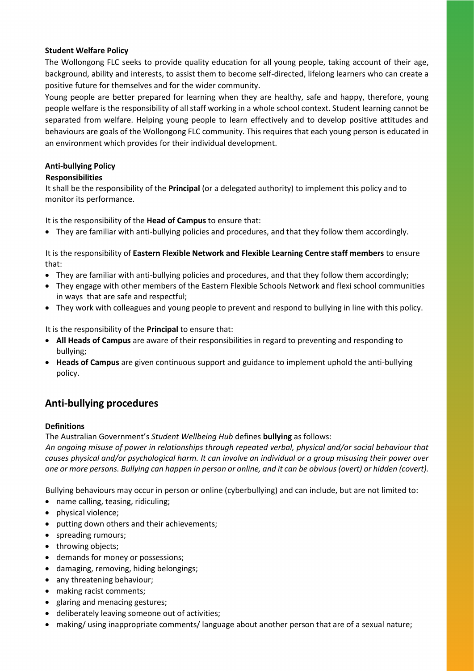#### **Student Welfare Policy**

The Wollongong FLC seeks to provide quality education for all young people, taking account of their age, background, ability and interests, to assist them to become self-directed, lifelong learners who can create a positive future for themselves and for the wider community.

Young people are better prepared for learning when they are healthy, safe and happy, therefore, young people welfare is the responsibility of all staff working in a whole school context. Student learning cannot be separated from welfare. Helping young people to learn effectively and to develop positive attitudes and behaviours are goals of the Wollongong FLC community. This requires that each young person is educated in an environment which provides for their individual development.

#### **Anti-bullying Policy**

#### **Responsibilities**

It shall be the responsibility of the **Principal** (or a delegated authority) to implement this policy and to monitor its performance.

It is the responsibility of the **Head of Campus** to ensure that:

• They are familiar with anti-bullying policies and procedures, and that they follow them accordingly.

It is the responsibility of **Eastern Flexible Network and Flexible Learning Centre staff members** to ensure that:

- They are familiar with anti-bullying policies and procedures, and that they follow them accordingly;
- They engage with other members of the Eastern Flexible Schools Network and flexi school communities in ways that are safe and respectful;
- They work with colleagues and young people to prevent and respond to bullying in line with this policy.

It is the responsibility of the **Principal** to ensure that:

- **All Heads of Campus** are aware of their responsibilities in regard to preventing and responding to bullying;
- **Heads of Campus** are given continuous support and guidance to implement uphold the anti-bullying policy.

#### **Anti-bullying procedures**

#### **Definitions**

The Australian Government's *Student Wellbeing Hub* defines **bullying** as follows:

*An ongoing misuse of power in relationships through repeated verbal, physical and/or social behaviour that causes physical and/or psychological harm. It can involve an individual or a group misusing their power over one or more persons. Bullying can happen in person or online, and it can be obvious (overt) or hidden (covert).*

Bullying behaviours may occur in person or online (cyberbullying) and can include, but are not limited to:

- name calling, teasing, ridiculing;
- physical violence;
- putting down others and their achievements;
- spreading rumours;
- throwing objects;
- demands for money or possessions;
- damaging, removing, hiding belongings;
- any threatening behaviour;
- making racist comments;
- glaring and menacing gestures;
- deliberately leaving someone out of activities;
- making/ using inappropriate comments/ language about another person that are of a sexual nature;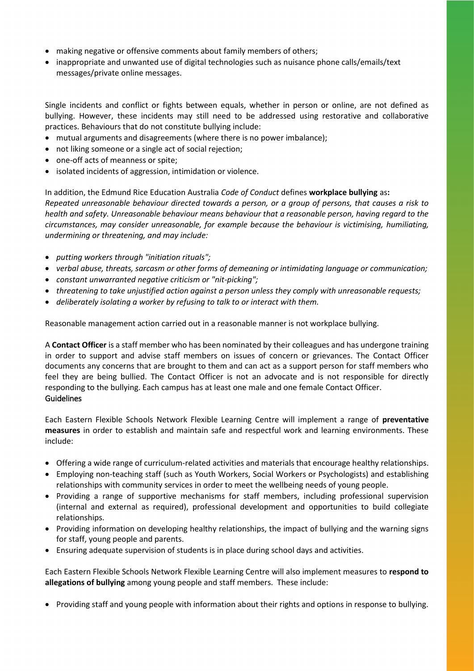- making negative or offensive comments about family members of others;
- inappropriate and unwanted use of digital technologies such as nuisance phone calls/emails/text messages/private online messages.

Single incidents and conflict or fights between equals, whether in person or online, are not defined as bullying. However, these incidents may still need to be addressed using restorative and collaborative practices. Behaviours that do not constitute bullying include:

- mutual arguments and disagreements (where there is no power imbalance);
- not liking someone or a single act of social rejection;
- one-off acts of meanness or spite;
- isolated incidents of aggression, intimidation or violence.

In addition, the Edmund Rice Education Australia *Code of Conduct* defines **workplace bullying** as**:**  *Repeated unreasonable behaviour directed towards a person, or a group of persons, that causes a risk to health and safety. Unreasonable behaviour means behaviour that a reasonable person, having regard to the circumstances, may consider unreasonable, for example because the behaviour is victimising, humiliating, undermining or threatening, and may include:*

- *putting workers through "initiation rituals";*
- *verbal abuse, threats, sarcasm or other forms of demeaning or intimidating language or communication;*
- *constant unwarranted negative criticism or "nit-picking";*
- *threatening to take unjustified action against a person unless they comply with unreasonable requests;*
- *deliberately isolating a worker by refusing to talk to or interact with them.*

Reasonable management action carried out in a reasonable manner is not workplace bullying.

A **Contact Officer** is a staff member who has been nominated by their colleagues and has undergone training in order to support and advise staff members on issues of concern or grievances. The Contact Officer documents any concerns that are brought to them and can act as a support person for staff members who feel they are being bullied. The Contact Officer is not an advocate and is not responsible for directly responding to the bullying. Each campus has at least one male and one female Contact Officer. Guidelines

Each Eastern Flexible Schools Network Flexible Learning Centre will implement a range of **preventative measures** in order to establish and maintain safe and respectful work and learning environments. These include:

- Offering a wide range of curriculum-related activities and materials that encourage healthy relationships.
- Employing non-teaching staff (such as Youth Workers, Social Workers or Psychologists) and establishing relationships with community services in order to meet the wellbeing needs of young people.
- Providing a range of supportive mechanisms for staff members, including professional supervision (internal and external as required), professional development and opportunities to build collegiate relationships.
- Providing information on developing healthy relationships, the impact of bullying and the warning signs for staff, young people and parents.
- Ensuring adequate supervision of students is in place during school days and activities.

Each Eastern Flexible Schools Network Flexible Learning Centre will also implement measures to **respond to allegations of bullying** among young people and staff members. These include:

• Providing staff and young people with information about their rights and options in response to bullying.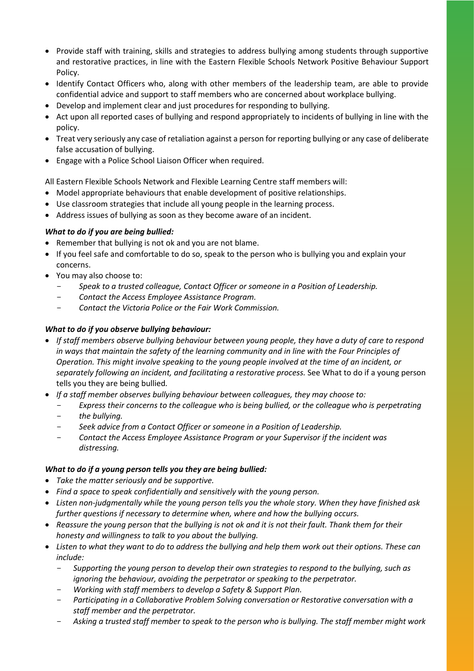- Provide staff with training, skills and strategies to address bullying among students through supportive and restorative practices, in line with the Eastern Flexible Schools Network Positive Behaviour Support Policy.
- Identify Contact Officers who, along with other members of the leadership team, are able to provide confidential advice and support to staff members who are concerned about workplace bullying.
- Develop and implement clear and just procedures for responding to bullying.
- Act upon all reported cases of bullying and respond appropriately to incidents of bullying in line with the policy.
- Treat very seriously any case of retaliation against a person for reporting bullying or any case of deliberate false accusation of bullying.
- Engage with a Police School Liaison Officer when required.

All Eastern Flexible Schools Network and Flexible Learning Centre staff members will:

- Model appropriate behaviours that enable development of positive relationships.
- Use classroom strategies that include all young people in the learning process.
- Address issues of bullying as soon as they become aware of an incident.

#### *What to do if you are being bullied:*

- Remember that bullying is not ok and you are not blame.
- If you feel safe and comfortable to do so, speak to the person who is bullying you and explain your concerns.
- You may also choose to:
	- *Speak to a trusted colleague, Contact Officer or someone in a Position of Leadership.*
	- *Contact the Access Employee Assistance Program.*
	- *Contact the Victoria Police or the Fair Work Commission.*

#### *What to do if you observe bullying behaviour:*

- *If staff members observe bullying behaviour between young people, they have a duty of care to respond in ways that maintain the safety of the learning community and in line with the Four Principles of Operation. This might involve speaking to the young people involved at the time of an incident, or separately following an incident, and facilitating a restorative process.* See What to do if a young person tells you they are being bullied*.*
- *If a staff member observes bullying behaviour between colleagues, they may choose to:* 
	- Express their concerns to the colleague who is being bullied, or the colleague who is perpetrating
	- *the bullying.*
	- *Seek advice from a Contact Officer or someone in a Position of Leadership.*
	- *Contact the Access Employee Assistance Program or your Supervisor if the incident was distressing.*

#### *What to do if a young person tells you they are being bullied:*

- *Take the matter seriously and be supportive.*
- *Find a space to speak confidentially and sensitively with the young person.*
- *Listen non-judgmentally while the young person tells you the whole story. When they have finished ask further questions if necessary to determine when, where and how the bullying occurs.*
- *Reassure the young person that the bullying is not ok and it is not their fault. Thank them for their honesty and willingness to talk to you about the bullying.*
- *Listen to what they want to do to address the bullying and help them work out their options. These can include:* 
	- *Supporting the young person to develop their own strategies to respond to the bullying, such as ignoring the behaviour, avoiding the perpetrator or speaking to the perpetrator.*
	- *Working with staff members to develop a Safety & Support Plan.*
	- *Participating in a Collaborative Problem Solving conversation or Restorative conversation with a staff member and the perpetrator.*
	- *Asking a trusted staff member to speak to the person who is bullying. The staff member might work*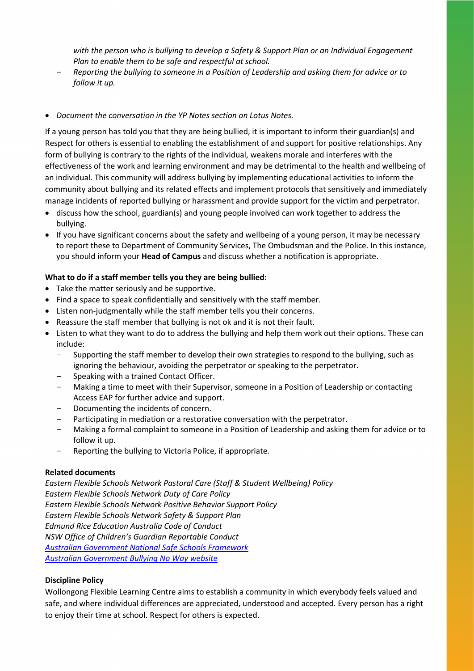*with the person who is bullying to develop a Safety & Support Plan or an Individual Engagement Plan to enable them to be safe and respectful at school.*

- *Reporting the bullying to someone in a Position of Leadership and asking them for advice or to follow it up.*
- *Document the conversation in the YP Notes section on Lotus Notes.*

If a young person has told you that they are being bullied, it is important to inform their guardian(s) and Respect for others is essential to enabling the establishment of and support for positive relationships. Any form of bullying is contrary to the rights of the individual, weakens morale and interferes with the effectiveness of the work and learning environment and may be detrimental to the health and wellbeing of an individual. This community will address bullying by implementing educational activities to inform the community about bullying and its related effects and implement protocols that sensitively and immediately manage incidents of reported bullying or harassment and provide support for the victim and perpetrator.

- discuss how the school, guardian(s) and young people involved can work together to address the bullying.
- If you have significant concerns about the safety and wellbeing of a young person, it may be necessary to report these to Department of Community Services, The Ombudsman and the Police. In this instance, you should inform your **Head of Campus** and discuss whether a notification is appropriate.

#### **What to do if a staff member tells you they are being bullied:**

- Take the matter seriously and be supportive.
- Find a space to speak confidentially and sensitively with the staff member.
- Listen non-judgmentally while the staff member tells you their concerns.
- Reassure the staff member that bullying is not ok and it is not their fault.
- Listen to what they want to do to address the bullying and help them work out their options. These can include:
	- Supporting the staff member to develop their own strategies to respond to the bullying, such as ignoring the behaviour, avoiding the perpetrator or speaking to the perpetrator.
	- Speaking with a trained Contact Officer.
	- Making a time to meet with their Supervisor, someone in a Position of Leadership or contacting Access EAP for further advice and support.
	- Documenting the incidents of concern.
	- Participating in mediation or a restorative conversation with the perpetrator.
	- Making a formal complaint to someone in a Position of Leadership and asking them for advice or to follow it up.
	- Reporting the bullying to Victoria Police, if appropriate.

#### **Related documents**

*Eastern Flexible Schools Network Pastoral Care (Staff & Student Wellbeing) Policy Eastern Flexible Schools Network Duty of Care Policy Eastern Flexible Schools Network Positive Behavior Support Policy Eastern Flexible Schools Network Safety & Support Plan Edmund Rice Education Australia Code of Conduct NSW Office of Children's Guardian Reportable Conduct [Australian Government National Safe Schools Framework](https://www.studentwellbeinghub.edu.au/educators/national-safe-schools-framework#/) [Australian Government Bullying No Way website](https://bullyingnoway.gov.au/)*

#### **Discipline Policy**

Wollongong Flexible Learning Centre aims to establish a community in which everybody feels valued and safe, and where individual differences are appreciated, understood and accepted. Every person has a right to enjoy their time at school. Respect for others is expected.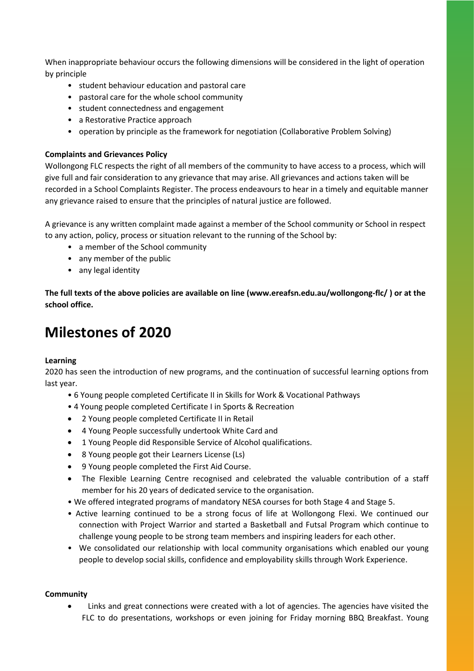When inappropriate behaviour occurs the following dimensions will be considered in the light of operation by principle

- student behaviour education and pastoral care
- pastoral care for the whole school community
- student connectedness and engagement
- a Restorative Practice approach
- operation by principle as the framework for negotiation (Collaborative Problem Solving)

#### **Complaints and Grievances Policy**

Wollongong FLC respects the right of all members of the community to have access to a process, which will give full and fair consideration to any grievance that may arise. All grievances and actions taken will be recorded in a School Complaints Register. The process endeavours to hear in a timely and equitable manner any grievance raised to ensure that the principles of natural justice are followed.

A grievance is any written complaint made against a member of the School community or School in respect to any action, policy, process or situation relevant to the running of the School by:

- a member of the School community
- any member of the public
- any legal identity

**The full texts of the above policies are available on line (www.ereafsn.edu.au/wollongong-flc/ ) or at the school office.**

## **Milestones of 2020**

#### **Learning**

2020 has seen the introduction of new programs, and the continuation of successful learning options from last year.

- 6 Young people completed Certificate II in Skills for Work & Vocational Pathways
- 4 Young people completed Certificate I in Sports & Recreation
- 2 Young people completed Certificate II in Retail
- 4 Young People successfully undertook White Card and
- 1 Young People did Responsible Service of Alcohol qualifications.
- 8 Young people got their Learners License (Ls)
- 9 Young people completed the First Aid Course.
- The Flexible Learning Centre recognised and celebrated the valuable contribution of a staff member for his 20 years of dedicated service to the organisation.
- We offered integrated programs of mandatory NESA courses for both Stage 4 and Stage 5.
- Active learning continued to be a strong focus of life at Wollongong Flexi. We continued our connection with Project Warrior and started a Basketball and Futsal Program which continue to challenge young people to be strong team members and inspiring leaders for each other.
- We consolidated our relationship with local community organisations which enabled our young people to develop social skills, confidence and employability skills through Work Experience.

#### **Community**

Links and great connections were created with a lot of agencies. The agencies have visited the FLC to do presentations, workshops or even joining for Friday morning BBQ Breakfast. Young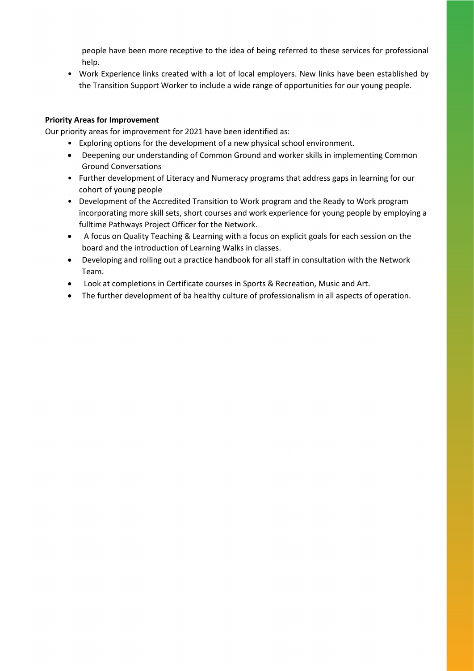people have been more receptive to the idea of being referred to these services for professional help.

• Work Experience links created with a lot of local employers. New links have been established by the Transition Support Worker to include a wide range of opportunities for our young people.

#### **Priority Areas for Improvement**

Our priority areas for improvement for 2021 have been identified as:

- Exploring options for the development of a new physical school environment.
- Deepening our understanding of Common Ground and worker skills in implementing Common Ground Conversations
- Further development of Literacy and Numeracy programs that address gaps in learning for our cohort of young people
- Development of the Accredited Transition to Work program and the Ready to Work program incorporating more skill sets, short courses and work experience for young people by employing a fulltime Pathways Project Officer for the Network.
- A focus on Quality Teaching & Learning with a focus on explicit goals for each session on the board and the introduction of Learning Walks in classes.
- Developing and rolling out a practice handbook for all staff in consultation with the Network Team.
- Look at completions in Certificate courses in Sports & Recreation, Music and Art.
- The further development of ba healthy culture of professionalism in all aspects of operation.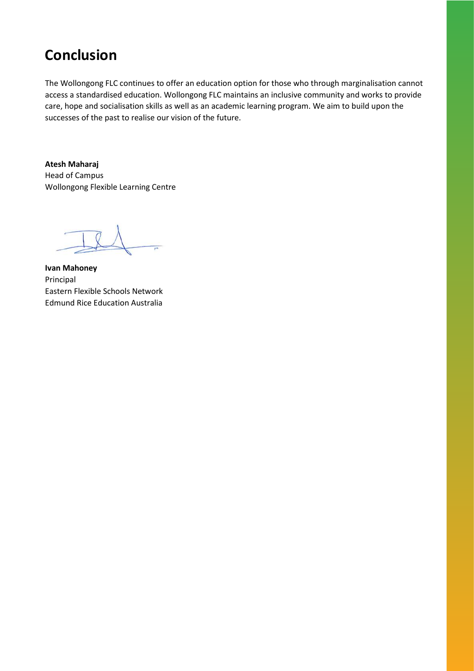## **Conclusion**

The Wollongong FLC continues to offer an education option for those who through marginalisation cannot access a standardised education. Wollongong FLC maintains an inclusive community and works to provide care, hope and socialisation skills as well as an academic learning program. We aim to build upon the successes of the past to realise our vision of the future.

**Atesh Maharaj** Head of Campus Wollongong Flexible Learning Centre

**Ivan Mahoney** Principal Eastern Flexible Schools Network Edmund Rice Education Australia